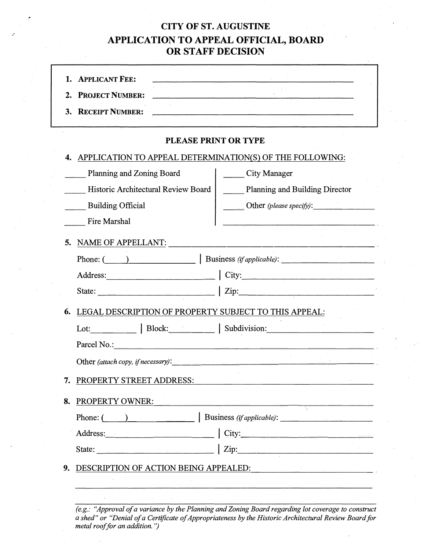## **CITY OF ST. AUGUSTINE APPLICATION TO APPEAL OFFICIAL, BOARD OR STAFF DECISION**

| 2.<br>3. | <b>PROJECT NUMBER:</b><br><b>RECEIPT NUMBER:</b>             | <u> 1980 - Johann Barn, mars ann an t-Amhain ann an t-Amhain an t-Amhain an t-Amhain an t-Amhain an t-Amhain an t-</u> |
|----------|--------------------------------------------------------------|------------------------------------------------------------------------------------------------------------------------|
|          | PLEASE PRINT OR TYPE                                         |                                                                                                                        |
| 4.       | APPLICATION TO APPEAL DETERMINATION(S) OF THE FOLLOWING:     |                                                                                                                        |
|          | Planning and Zoning Board                                    | City Manager                                                                                                           |
|          | Historic Architectural Review Board                          | <b>Planning and Building Director</b>                                                                                  |
|          | <b>Building Official</b>                                     | Other (please specify):                                                                                                |
|          | Fire Marshal                                                 | <u> 1980 - Jan Samuel III, martxa al III, martxa al III, martxa al III, martxa al III, martxa al III, martxa al I</u>  |
| 5.       | NAME OF APPELLANT:                                           |                                                                                                                        |
|          |                                                              |                                                                                                                        |
|          |                                                              |                                                                                                                        |
|          |                                                              |                                                                                                                        |
| 6.       | LEGAL DESCRIPTION OF PROPERTY SUBJECT TO THIS APPEAL:        |                                                                                                                        |
|          | Lot: $\qquad \qquad$   Block: $\qquad \qquad$   Subdivision: |                                                                                                                        |
|          |                                                              |                                                                                                                        |
|          | Other (attach copy, if necessary):                           |                                                                                                                        |
| 7.       |                                                              |                                                                                                                        |
|          | PROPERTY STREET ADDRESS:                                     |                                                                                                                        |
| 8.       | PROPERTY OWNER:                                              |                                                                                                                        |
|          |                                                              |                                                                                                                        |
|          |                                                              | City:                                                                                                                  |
|          |                                                              |                                                                                                                        |

*(e.g.: "Approval of a variance by the Planning and Zoning Board regarding lot coverage to construct a shed" or "Denial of a Certificate of Appropriateness by the Historic Architectural Review Board for metal roof for an addition. '')*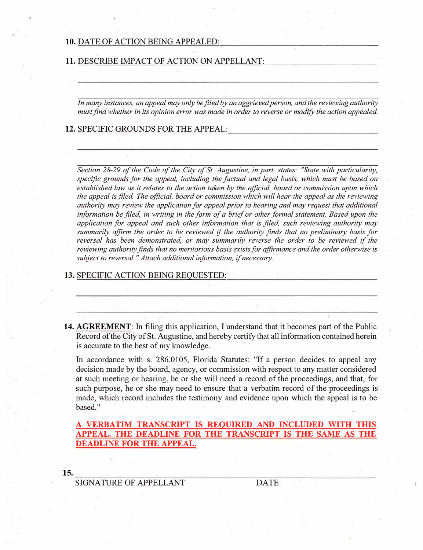#### **10. DATE OF ACTION BEING APPEALED:**

#### 11. DESCRIBE IMPACT OF ACTION ON APPELLANT:

*In many instances, an appeal may only be filed by an aggrieved person, and the reviewing authority must find whether in its opinion error was made in order to reverse or modify the action appealed* 

12. SPECIFIC GROUNDS FOR THE APPEAL:

*Section 28-29 of the Code of the City of St. Augustine, in part, states: "State with particularity, specific grounds for the appeal, including the factual and legal basis, which must be based on established law as it relates to the action taken by the official, board or commission upon which the appeal is filed The official, board or commission which will hear the appeal as the reviewing authority may review the application for appeal prior to hearing and may request that additional*  information be filed, in writing in the form of a brief or other formal statement. Based upon the *application for appeal and such other information that is filed, such reviewing authority may. summarily affirm the order to be reviewed if the authority finds that no preliminary basis for . reversal has been demonstrated, or may summarily reverse the order to be reviewed if the reviewing authOrity finds that no meritorious basis exists for affirmance and the order otherwise is*  subject to reversal." Attach additional information, if necessary.

### 13. SPECIFIC ACTION BEING REQUESTED:

**14. AGREEMENT:** In filing this application, I understand that it becomes part of the Public Record of the City of St. Augustine, and hereby certify that all information contained herein is accurate to the best of my knowledge.

In accordance with s. 286.0105, Florida Statutes: "If a person decides to appeal any decision made by the board, agency, or commission with respect to anymatter considered at such meeting or hearing, he or she will need a record of the proceedings, and that, for such purpose, he or she may need to ensure that a verbatim record of the proceedings is made, which record includes the testimony and evidence upon which the appeal is to be based."

**A VERBAT™ TRANSCRIPT IS REQUIRED AND INCLUDED WITH TIDS APPEAL. THE DEADLINE FOR THE TRANSCRIPT IS THE SAME AS THE DEADLINE FOR THE APPEAL.**

**15.** 

------�-----------------�---------- SIGNATURE OF APPELLANT DATE